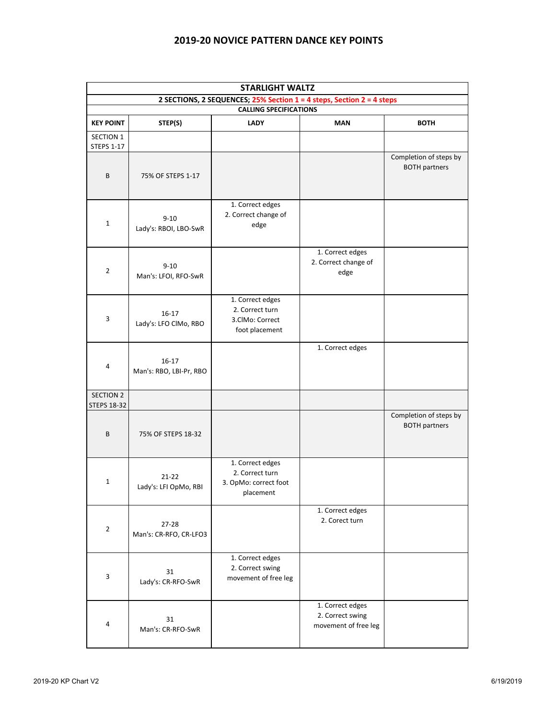## **2019-20 NOVICE PATTERN DANCE KEY POINTS**

| <b>STARLIGHT WALTZ</b>                                                                                 |                                    |                                                                           |                                                              |                                                |  |  |  |  |
|--------------------------------------------------------------------------------------------------------|------------------------------------|---------------------------------------------------------------------------|--------------------------------------------------------------|------------------------------------------------|--|--|--|--|
| 2 SECTIONS, 2 SEQUENCES; 25% Section 1 = 4 steps, Section 2 = 4 steps<br><b>CALLING SPECIFICATIONS</b> |                                    |                                                                           |                                                              |                                                |  |  |  |  |
| <b>KEY POINT</b>                                                                                       | STEP(S)                            | <b>LADY</b>                                                               | <b>MAN</b>                                                   | <b>BOTH</b>                                    |  |  |  |  |
| <b>SECTION 1</b><br><b>STEPS 1-17</b>                                                                  |                                    |                                                                           |                                                              |                                                |  |  |  |  |
| B                                                                                                      | 75% OF STEPS 1-17                  |                                                                           |                                                              | Completion of steps by<br><b>BOTH partners</b> |  |  |  |  |
| $\mathbf{1}$                                                                                           | $9 - 10$<br>Lady's: RBOI, LBO-SwR  | 1. Correct edges<br>2. Correct change of<br>edge                          |                                                              |                                                |  |  |  |  |
| $\overline{2}$                                                                                         | $9 - 10$<br>Man's: LFOI, RFO-SwR   |                                                                           | 1. Correct edges<br>2. Correct change of<br>edge             |                                                |  |  |  |  |
| 3                                                                                                      | $16-17$<br>Lady's: LFO ClMo, RBO   | 1. Correct edges<br>2. Correct turn<br>3.ClMo: Correct<br>foot placement  |                                                              |                                                |  |  |  |  |
| 4                                                                                                      | $16-17$<br>Man's: RBO, LBI-Pr, RBO |                                                                           | 1. Correct edges                                             |                                                |  |  |  |  |
| <b>SECTION 2</b><br><b>STEPS 18-32</b>                                                                 |                                    |                                                                           |                                                              |                                                |  |  |  |  |
| B                                                                                                      | 75% OF STEPS 18-32                 |                                                                           |                                                              | Completion of steps by<br><b>BOTH partners</b> |  |  |  |  |
| $\mathbf{1}$                                                                                           | $21 - 22$<br>Lady's: LFI OpMo, RBI | 1. Correct edges<br>2. Correct turn<br>3. OpMo: correct foot<br>placement |                                                              |                                                |  |  |  |  |
| $\overline{2}$                                                                                         | 27-28<br>Man's: CR-RFO, CR-LFO3    |                                                                           | 1. Correct edges<br>2. Corect turn                           |                                                |  |  |  |  |
| 3                                                                                                      | 31<br>Lady's: CR-RFO-SwR           | 1. Correct edges<br>2. Correct swing<br>movement of free leg              |                                                              |                                                |  |  |  |  |
| $\overline{a}$                                                                                         | 31<br>Man's: CR-RFO-SwR            |                                                                           | 1. Correct edges<br>2. Correct swing<br>movement of free leg |                                                |  |  |  |  |